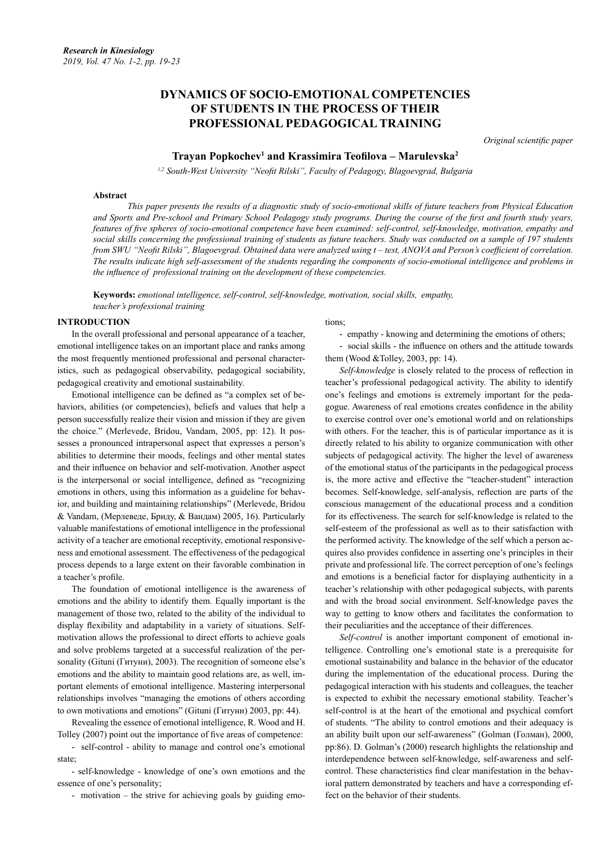# **DYNAMICS OF SOCIO-EMOTIONAL COMPETENCIES OF STUDENTS IN THE PROCESS OF THEIR PROFESSIONAL PEDAGOGICAL TRAINING**

*Original scientific paper*

# **Trayan Popkochev1 and Krassimira Teofilova – Marulevska<sup>2</sup>**

*1,2 South-West University "Neofit Rilski", Faculty of Pedagogy, Blagoevgrad, Вulgaria*

#### **Abstract**

*This paper presents the results of a diagnostic study of socio-emotional skills of future teachers from Physical Education and Sports and Pre-school and Primary School Pedagogy study programs. During the course of the first and fourth study years, features of five spheres of socio-emotional competence have been examined: self-control, self-knowledge, motivation, empathy and social skills concerning the professional training of students as future teachers. Study was conducted on a sample of 197 students from SWU "Neofit Rilski", Blagoevgrad. Obtained data were analyzed using t – test, ANOVA and Person's coefficient of correlation. The results indicate high self-assessment of the students regarding the components of socio-emotional intelligence and problems in the influence of professional training on the development of these competencies.*

**Keywords:** *emotional intelligence, self-control, self-knowledge, motivation, social skills, empathy, teacher's professional training* 

### **INTRODUCTION**

In the overall professional and personal appearance of a teacher, emotional intelligence takes on an important place and ranks among the most frequently mentioned professional and personal characteristics, such as pedagogical observability, pedagogical sociability, pedagogical creativity and emotional sustainability.

Emotional intelligence can be defined as "a complex set of behaviors, abilities (or competencies), beliefs and values that help a person successfully realize their vision and mission if they are given the choice." (Merlevede, Bridou, Vandam, 2005, pp: 12). It possesses a pronounced intrapersonal aspect that expresses a person's abilities to determine their moods, feelings and other mental states and their influence on behavior and self-motivation. Another aspect is the interpersonal or social intelligence, defined as "recognizing emotions in others, using this information as a guideline for behavior, and building and maintaining relationships" (Merlevede, Bridou & Vandam, (Мерлеведе, Бриду, & Вандам) 2005, 16). Particularly valuable manifestations of emotional intelligence in the professional activity of a teacher are emotional receptivity, emotional responsiveness and emotional assessment. The effectiveness of the pedagogical process depends to a large extent on their favorable combination in a teacher's profile.

The foundation of emotional intelligence is the awareness of emotions and the ability to identify them. Equally important is the management of those two, related to the ability of the individual to display flexibility and adaptability in a variety of situations. Selfmotivation allows the professional to direct efforts to achieve goals and solve problems targeted at a successful realization of the personality (Gituni (Гитуни), 2003). The recognition of someone else's emotions and the ability to maintain good relations are, as well, important elements of emotional intelligence. Mastering interpersonal relationships involves "managing the emotions of others according to own motivations and emotions" (Gituni (Гитуни) 2003, pp: 44).

Revealing the essence of emotional intelligence, R. Wood and H. Tolley (2007) point out the importance of five areas of competence:

- self-control - ability to manage and control one's emotional state;

- self-knowledge - knowledge of one's own emotions and the essence of one's personality;

- motivation – the strive for achieving goals by guiding emo-

tions;

- empathy - knowing and determining the emotions of others;

social skills - the influence on others and the attitude towards them (Wood &Tolley, 2003, pp: 14).

*Self-knowledge* is closely related to the process of reflection in teacher's professional pedagogical activity. The ability to identify one's feelings and emotions is extremely important for the pedagogue. Awareness of real emotions creates confidence in the ability to exercise control over one's emotional world and on relationships with others. For the teacher, this is of particular importance as it is directly related to his ability to organize communication with other subjects of pedagogical activity. The higher the level of awareness of the emotional status of the participants in the pedagogical process is, the more active and effective the "teacher-student" interaction becomes. Self-knowledge, self-analysis, reflection are parts of the conscious management of the educational process and a condition for its effectiveness. The search for self-knowledge is related to the self-esteem of the professional as well as to their satisfaction with the performed activity. The knowledge of the self which a person acquires also provides confidence in asserting one's principles in their private and professional life. The correct perception of one's feelings and emotions is a beneficial factor for displaying authenticity in a teacher's relationship with other pedagogical subjects, with parents and with the broad social environment. Self-knowledge paves the way to getting to know others and facilitates the conformation to their peculiarities and the acceptance of their differences.

*Self-control* is another important component of emotional intelligence. Controlling one's emotional state is a prerequisite for emotional sustainability and balance in the behavior of the educator during the implementation of the educational process. During the pedagogical interaction with his students and colleagues, the teacher is expected to exhibit the necessary emotional stability. Teacher's self-control is at the heart of the emotional and psychical comfort of students. "The ability to control emotions and their adequacy is an ability built upon our self-awareness" (Golman (Голман), 2000, pp:86). D. Golman's (2000) research highlights the relationship and interdependence between self-knowledge, self-awareness and selfcontrol. These characteristics find clear manifestation in the behavioral pattern demonstrated by teachers and have a corresponding effect on the behavior of their students.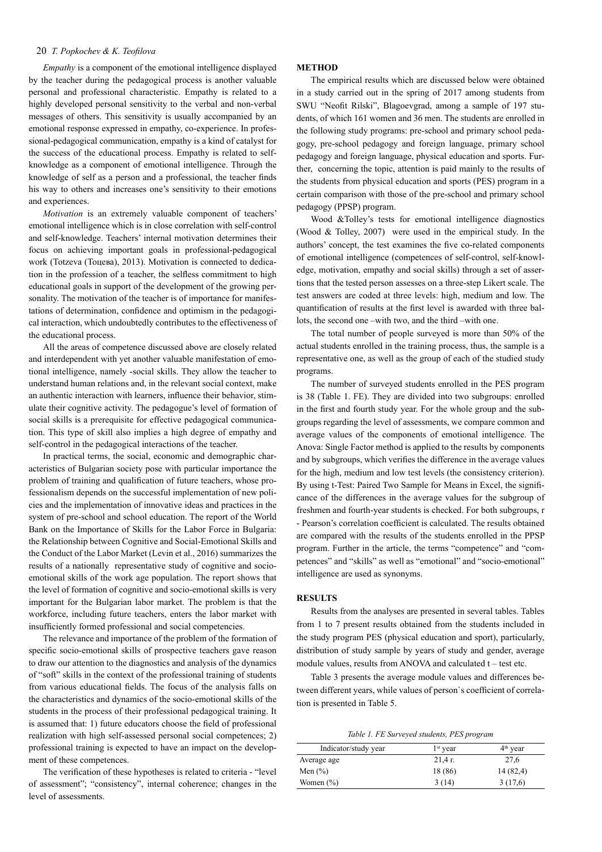#### 20 *T. Popkochev & K. Teofilova*

*Empathy* is a component of the emotional intelligence displayed by the teacher during the pedagogical process is another valuable personal and professional characteristic. Empathy is related to a highly developed personal sensitivity to the verbal and non-verbal messages of others. This sensitivity is usually accompanied by an emotional response expressed in empathy, co-experience. In professional-pedagogical communication, empathy is a kind of catalyst for the success of the educational process. Empathy is related to selfknowledge as a component of emotional intelligence. Through the knowledge of self as a person and a professional, the teacher finds his way to others and increases one's sensitivity to their emotions and experiences.

*Motivation* is an extremely valuable component of teachers' emotional intelligence which is in close correlation with self-control and self-knowledge. Teachers' internal motivation determines their focus on achieving important goals in professional-pedagogical work (Totzeva (Тоцева), 2013). Motivation is connected to dedication in the profession of a teacher, the selfless commitment to high educational goals in support of the development of the growing personality. The motivation of the teacher is of importance for manifestations of determination, confidence and optimism in the pedagogical interaction, which undoubtedly contributes to the effectiveness of the educational process.

All the areas of competence discussed above are closely related and interdependent with yet another valuable manifestation of emotional intelligence, namely -social skills. They allow the teacher to understand human relations and, in the relevant social context, make an authentic interaction with learners, influence their behavior, stimulate their cognitive activity. The pedagogue's level of formation of social skills is a prerequisite for effective pedagogical communication. This type of skill also implies a high degree of empathy and self-control in the pedagogical interactions of the teacher.

In practical terms, the social, economic and demographic characteristics of Bulgarian society pose with particular importance the problem of training and qualification of future teachers, whose professionalism depends on the successful implementation of new policies and the implementation of innovative ideas and practices in the system of pre-school and school education. The report of the World Bank on the Importance of Skills for the Labor Force in Bulgaria: the Relationship between Cognitive and Social-Emotional Skills and the Conduct of the Labor Market (Levin et al., 2016) summarizes the results of a nationally representative study of cognitive and socioemotional skills of the work age population. The report shows that the level of formation of cognitive and socio-emotional skills is very important for the Bulgarian labor market. The problem is that the workforce, including future teachers, enters the labor market with insufficiently formed professional and social competencies.

The relevance and importance of the problem of the formation of specific socio-emotional skills of prospective teachers gave reason to draw our attention to the diagnostics and analysis of the dynamics of "soft" skills in the context of the professional training of students from various educational fields. The focus of the analysis falls on the characteristics and dynamics of the socio-emotional skills of the students in the process of their professional pedagogical training. It is assumed that: 1) future educators choose the field of professional realization with high self-assessed personal social competences; 2) professional training is expected to have an impact on the development of these competences.

The verification of these hypotheses is related to criteria - "level of assessment"; "consistency", internal coherence; changes in the level of assessments.

#### **METHOD**

The empirical results which are discussed below were obtained in a study carried out in the spring of 2017 among students from SWU "Neofit Rilski", Blagoevgrad, among a sample of 197 students, of which 161 women and 36 men. The students are enrolled in the following study programs: pre-school and primary school pedagogy, pre-school pedagogy and foreign language, primary school pedagogy and foreign language, physical education and sports. Further, concerning the topic, attention is paid mainly to the results of the students from physical education and sports (PES) program in a certain comparison with those of the pre-school and primary school pedagogy (PPSP) program.

Wood &Tolley's tests for emotional intelligence diagnostics (Wood & Tolley, 2007) were used in the empirical study. In the authors' concept, the test examines the five co-related components of emotional intelligence (competences of self-control, self-knowledge, motivation, empathy and social skills) through a set of assertions that the tested person assesses on a three-step Likert scale. The test answers are coded at three levels: high, medium and low. The quantification of results at the first level is awarded with three ballots, the second one –with two, and the third –with one.

The total number of people surveyed is more than 50% of the actual students enrolled in the training process, thus, the sample is a representative one, as well as the group of each of the studied study programs.

The number of surveyed students enrolled in the PES program is 38 (Table 1. FE). They are divided into two subgroups: enrolled in the first and fourth study year. For the whole group and the subgroups regarding the level of assessments, we compare common and average values of the components of emotional intelligence. The Anova: Single Factor method is applied to the results by components and by subgroups, which verifies the difference in the average values for the high, medium and low test levels (the consistency criterion). By using t-Test: Paired Two Sample for Means in Excel, the significance of the differences in the average values for the subgroup of freshmen and fourth-year students is checked. For both subgroups, r - Pearson's correlation coefficient is calculated. The results obtained are compared with the results of the students enrolled in the PPSP program. Further in the article, the terms "competence" and "competences" and "skills" as well as "emotional" and "socio-emotional" intelligence are used as synonyms.

## **RESULTS**

Results from the analyses are presented in several tables. Tables from 1 to 7 present results obtained from the students included in the study program PES (physical education and sport), particularly, distribution of study sample by years of study and gender, average module values, results from ANOVA and calculated t – test etc.

Table 3 presents the average module values and differences between different years, while values of person`s coefficient of correlation is presented in Table 5.

*Table 1. FE Surveyed students, PES program*

| Indicator/study year | $1st$ year | $4th$ year |
|----------------------|------------|------------|
| Average age          | $21.4r$ .  | 27,6       |
| Men $(\% )$          | 18 (86)    | 14 (82,4)  |
| Women $(\%)$         | 3 (14)     | 3(17,6)    |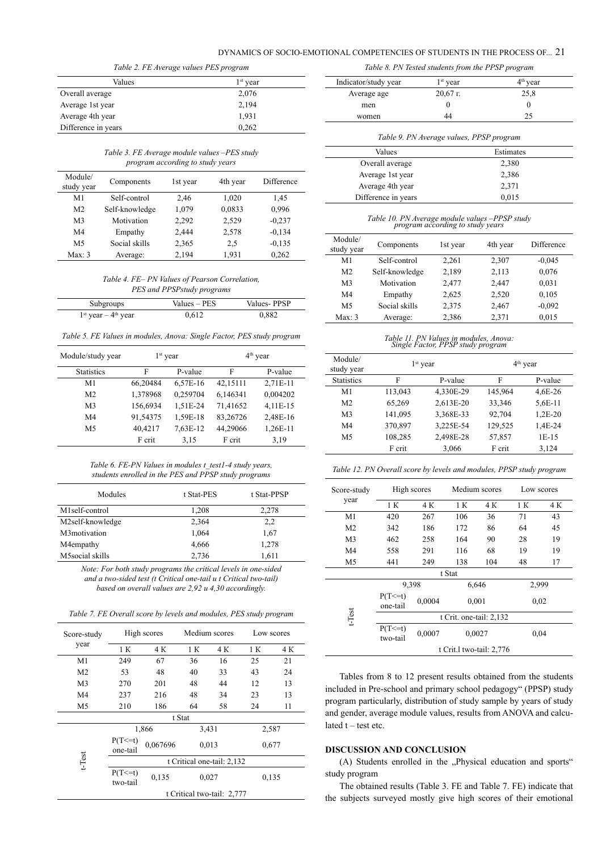## DYNAMICS OF SOCIO-EMOTIONAL COMPETENCIES OF STUDENTS IN THE PROCESS OF... 21

| Table 2. FE Average values PES program |                      |  |  |  |
|----------------------------------------|----------------------|--|--|--|
| Values                                 | 1 <sup>st</sup> year |  |  |  |
| Overall average                        | 2,076                |  |  |  |
| Average 1st year                       | 2,194                |  |  |  |
| Average 4th year                       | 1,931                |  |  |  |
| Difference in years                    | 0,262                |  |  |  |

*Тable 3. FE Average module values –PES study program according to study years*

| Module/<br>study year | Components     | 1st year | 4th year | Difference |
|-----------------------|----------------|----------|----------|------------|
| M1                    | Self-control   | 2,46     | 1,020    | 1,45       |
| M <sub>2</sub>        | Self-knowledge | 1,079    | 0.0833   | 0,996      |
| M <sub>3</sub>        | Motivation     | 2,292    | 2,529    | $-0.237$   |
| M4                    | Empathy        | 2,444    | 2,578    | $-0.134$   |
| M <sub>5</sub>        | Social skills  | 2,365    | 2.5      | $-0.135$   |
| Max: 3                | Average:       | 2,194    | 1,931    | 0,262      |

*Тable 4. FE– PN Values of Pearson Correlation, PES and PPSPstudy programs*

| Subgroups              | Values – PES | Values-PPSP |
|------------------------|--------------|-------------|
| $1st$ year $-4th$ year | 0.612        | 0,882       |

*Тable 5. FE Values in modules, Anova: Single Factor, PES study program*

| Module/study year | $1st$ year |          |          |          | $4th$ year |
|-------------------|------------|----------|----------|----------|------------|
| <b>Statistics</b> | F          | P-value  | F        | P-value  |            |
| M1                | 66,20484   | 6,57E-16 | 42,15111 | 2,71E-11 |            |
| M <sub>2</sub>    | 1,378968   | 0,259704 | 6,146341 | 0,004202 |            |
| M <sub>3</sub>    | 156,6934   | 1,51E-24 | 71,41652 | 4,11E-15 |            |
| M4                | 91,54375   | 1,59E-18 | 83,26726 | 2,48E-16 |            |
| M5                | 40,4217    | 7,63E-12 | 44,29066 | 1,26E-11 |            |
|                   | F crit     | 3,15     | F crit   | 3,19     |            |

| Table 6. FE-PN Values in modules t test1-4 study years, |
|---------------------------------------------------------|
| students enrolled in the PES and PPSP study programs    |

| Modules          | t Stat-PES | t Stat-PPSP |
|------------------|------------|-------------|
| M1self-control   | 1,208      | 2,278       |
| M2self-knowledge | 2,364      | 2,2         |
| M3motivation     | 1,064      | 1,67        |
| M4 empathy       | 4,666      | 1,278       |
| M5social skills  | 2,736      | 1,611       |

*Note: For both study programs the critical levels in one-sided and a two-sided test (t Critical one-tail и t Critical two-tail) based on overall values are 2,92 и 4,30 accordingly.*

*Тable 7. FE Overall score by levels and modules, PES study program*

| Score-study    |                          | High scores                | Medium scores |       |       | Low scores |
|----------------|--------------------------|----------------------------|---------------|-------|-------|------------|
| year           | 1 K                      | 4 K                        | 1 K           | 4 K   | 1 K   | 4 K        |
| M1             | 249                      | 67                         | 36            | 16    | 25    | 21         |
| M <sub>2</sub> | 53                       | 48                         | 40            | 33    | 43    | 24         |
| M <sub>3</sub> | 270                      | 201                        | 48            | 44    | 12    | 13         |
| M <sub>4</sub> | 237                      | 216                        | 48            | 34    | 23    | 13         |
| M <sub>5</sub> | 210                      | 186                        | 64            | 58    | 24    | 11         |
|                |                          |                            | t Stat        |       |       |            |
|                |                          | 1,866                      |               | 3,431 | 2,587 |            |
|                | $P(T \le t)$<br>one-tail | 0,067696                   |               | 0,013 | 0,677 |            |
| $t$ -Test      |                          | t Critical one-tail: 2,132 |               |       |       |            |
|                | $P(T \le t)$<br>two-tail | 0,135                      |               | 0,027 | 0,135 |            |
|                |                          | t Critical two-tail: 2,777 |               |       |       |            |

|  | Table 8. PN Tested students from the PPSP program |  |
|--|---------------------------------------------------|--|
|  |                                                   |  |

| Indicator/study year | $1st$ year                               | 4 <sup>th</sup> year |
|----------------------|------------------------------------------|----------------------|
| Average age          | $20,67$ r.                               | 25,8                 |
| men                  | $\Omega$                                 | 0                    |
| women                | 44                                       | 25                   |
|                      | Table 9. PN Average values, PPSP program |                      |
| Values               |                                          | Estimates            |
| Overall average      |                                          | 2,380                |
| Average 1st year     |                                          | 2,386                |
| Average 4th year     |                                          | 2,371                |

# *Тable 10. PN Average module values –PPSP study program according to study years*

| Module/<br>study year | Components     | 1st year | 4th year | Difference |
|-----------------------|----------------|----------|----------|------------|
| M1                    | Self-control   | 2,261    | 2,307    | $-0.045$   |
| M <sub>2</sub>        | Self-knowledge | 2,189    | 2,113    | 0,076      |
| M <sub>3</sub>        | Motivation     | 2,477    | 2,447    | 0,031      |
| M4                    | Empathy        | 2,625    | 2,520    | 0,105      |
| M <sub>5</sub>        | Social skills  | 2,375    | 2,467    | $-0.092$   |
| Max: 3                | Average:       | 2,386    | 2,371    | 0,015      |

*Таble 11. PN Values in modules, Anova: Single Factor, PPSP study program*

| Module/<br>study year | $1st$ year |           | $4th$ year |           |
|-----------------------|------------|-----------|------------|-----------|
| <b>Statistics</b>     | F          | P-value   | F          | P-value   |
| M <sub>1</sub>        | 113,043    | 4,330E-29 | 145,964    | 4,6E-26   |
| M <sub>2</sub>        | 65,269     | 2,613E-20 | 33,346     | $5.6E-11$ |
| M <sub>3</sub>        | 141,095    | 3,368E-33 | 92,704     | $1,2E-20$ |
| M <sub>4</sub>        | 370,897    | 3,225E-54 | 129,525    | 1,4E-24   |
| M <sub>5</sub>        | 108,285    | 2,498E-28 | 57,857     | $1E-15$   |
|                       | F crit     | 3,066     | F crit     | 3,124     |

*Таble 12. PN Overall score by levels and modules, PPSP study program*

| Score-study<br>year | High scores              |        | Medium scores |     | Low scores |     |
|---------------------|--------------------------|--------|---------------|-----|------------|-----|
|                     | 1 K                      | 4 K    | 1 K           | 4 K | 1 K        | 4 K |
| M1                  | 420                      | 267    | 106           | 36  | 71         | 43  |
| M <sub>2</sub>      | 342                      | 186    | 172           | 86  | 64         | 45  |
| M <sub>3</sub>      | 462                      | 258    | 164           | 90  | 28         | 19  |
| M4                  | 558                      | 291    | 116           | 68  | 19         | 19  |
| M <sub>5</sub>      | 441                      | 249    | 138           | 104 | 48         | 17  |
| t Stat              |                          |        |               |     |            |     |
| t-Test              | 9,398                    |        | 6,646         |     | 2,999      |     |
|                     | $P(T \le t)$<br>one-tail | 0,0004 | 0.001         |     | 0.02       |     |
|                     | t Crit. one-tail: 2,132  |        |               |     |            |     |
|                     | $P(T \le t)$<br>two-tail | 0,0007 | 0,0027        |     | 0,04       |     |
|                     | t Crit.1 two-tail: 2,776 |        |               |     |            |     |

Tables from 8 to 12 present results obtained from the students included in Pre-school and primary school pedagogy" (PPSP) study program particularly, distribution of study sample by years of study and gender, average module values, results from ANOVA and calculated  $t - test$  etc.

### **DISCUSSION AND CONCLUSION**

(A) Students enrolled in the "Physical education and sports" study program

The obtained results (Table 3. FE and Table 7. FE) indicate that the subjects surveyed mostly give high scores of their emotional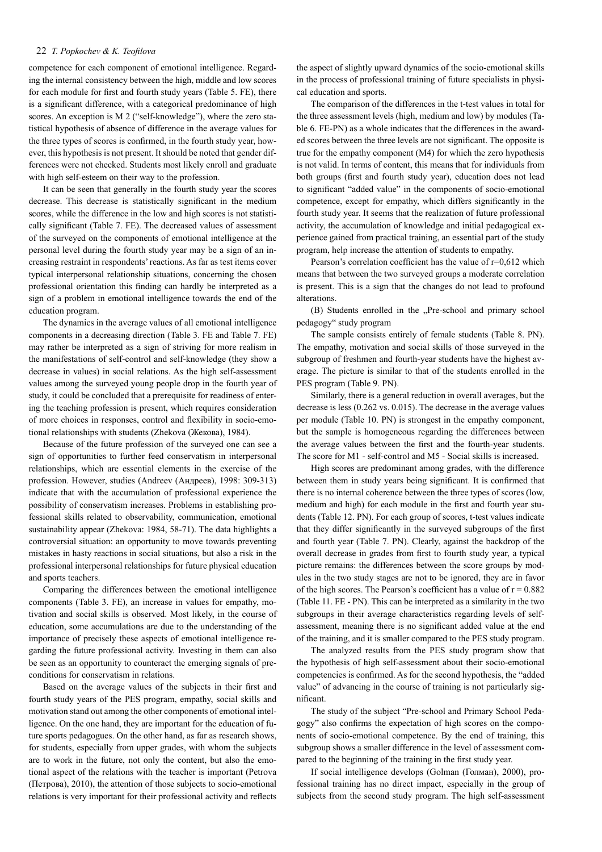#### 22 *T. Popkochev & K. Teofilova*

competence for each component of emotional intelligence. Regarding the internal consistency between the high, middle and low scores for each module for first and fourth study years (Table 5. FE), there is a significant difference, with a categorical predominance of high scores. An exception is M 2 ("self-knowledge"), where the zero statistical hypothesis of absence of difference in the average values for the three types of scores is confirmed, in the fourth study year, however, this hypothesis is not present. It should be noted that gender differences were not checked. Students most likely enroll and graduate with high self-esteem on their way to the profession.

It can be seen that generally in the fourth study year the scores decrease. This decrease is statistically significant in the medium scores, while the difference in the low and high scores is not statistically significant (Table 7. FE). The decreased values of assessment of the surveyed on the components of emotional intelligence at the personal level during the fourth study year may be a sign of an increasing restraint in respondents' reactions. As far as test items cover typical interpersonal relationship situations, concerning the chosen professional orientation this finding can hardly be interpreted as a sign of a problem in emotional intelligence towards the end of the education program.

The dynamics in the average values of all emotional intelligence components in a decreasing direction (Table 3. FE and Table 7. FE) may rather be interpreted as a sign of striving for more realism in the manifestations of self-control and self-knowledge (they show a decrease in values) in social relations. As the high self-assessment values among the surveyed young people drop in the fourth year of study, it could be concluded that a prerequisite for readiness of entering the teaching profession is present, which requires consideration of more choices in responses, control and flexibility in socio-emotional relationships with students (Zhekova (Жекова), 1984).

Because of the future profession of the surveyed one can see a sign of opportunities to further feed conservatism in interpersonal relationships, which are essential elements in the exercise of the profession. However, studies (Andreev (Андреев), 1998: 309-313) indicate that with the accumulation of professional experience the possibility of conservatism increases. Problems in establishing professional skills related to observability, communication, emotional sustainability appear (Zhekova: 1984, 58-71). The data highlights a controversial situation: an opportunity to move towards preventing mistakes in hasty reactions in social situations, but also a risk in the professional interpersonal relationships for future physical education and sports teachers.

Comparing the differences between the emotional intelligence components (Table 3. FE), an increase in values for empathy, motivation and social skills is observed. Most likely, in the course of education, some accumulations are due to the understanding of the importance of precisely these aspects of emotional intelligence regarding the future professional activity. Investing in them can also be seen as an opportunity to counteract the emerging signals of preconditions for conservatism in relations.

Based on the average values of the subjects in their first and fourth study years of the PES program, empathy, social skills and motivation stand out among the other components of emotional intelligence. On the one hand, they are important for the education of future sports pedagogues. On the other hand, as far as research shows, for students, especially from upper grades, with whom the subjects are to work in the future, not only the content, but also the emotional aspect of the relations with the teacher is important (Petrova (Петрова), 2010), the attention of those subjects to socio-emotional relations is very important for their professional activity and reflects

the aspect of slightly upward dynamics of the socio-emotional skills in the process of professional training of future specialists in physical education and sports.

The comparison of the differences in the t-test values in total for the three assessment levels (high, medium and low) by modules (Table 6. FE-PN) as a whole indicates that the differences in the awarded scores between the three levels are not significant. The opposite is true for the empathy component (M4) for which the zero hypothesis is not valid. In terms of content, this means that for individuals from both groups (first and fourth study year), education does not lead to significant "added value" in the components of socio-emotional competence, except for empathy, which differs significantly in the fourth study year. It seems that the realization of future professional activity, the accumulation of knowledge and initial pedagogical experience gained from practical training, an essential part of the study program, help increase the attention of students to empathy.

Pearson's correlation coefficient has the value of r=0,612 which means that between the two surveyed groups a moderate correlation is present. This is a sign that the changes do not lead to profound alterations.

(B) Students enrolled in the "Pre-school and primary school pedagogy" study program

The sample consists entirely of female students (Table 8. PN). The empathy, motivation and social skills of those surveyed in the subgroup of freshmen and fourth-year students have the highest average. The picture is similar to that of the students enrolled in the PES program (Table 9. PN).

Similarly, there is a general reduction in overall averages, but the decrease is less (0.262 vs. 0.015). The decrease in the average values per module (Table 10. PN) is strongest in the empathy component, but the sample is homogeneous regarding the differences between the average values between the first and the fourth-year students. The score for M1 - self-control and M5 - Social skills is increased.

High scores are predominant among grades, with the difference between them in study years being significant. It is confirmed that there is no internal coherence between the three types of scores (low, medium and high) for each module in the first and fourth year students (Table 12. PN). For each group of scores, t-test values indicate that they differ significantly in the surveyed subgroups of the first and fourth year (Table 7. PN). Clearly, against the backdrop of the overall decrease in grades from first to fourth study year, a typical picture remains: the differences between the score groups by modules in the two study stages are not to be ignored, they are in favor of the high scores. The Pearson's coefficient has a value of  $r = 0.882$ (Table 11. FE - PN). This can be interpreted as a similarity in the two subgroups in their average characteristics regarding levels of selfassessment, meaning there is no significant added value at the end of the training, and it is smaller compared to the PES study program.

The analyzed results from the PES study program show that the hypothesis of high self-assessment about their socio-emotional competencies is confirmed. As for the second hypothesis, the "added value" of advancing in the course of training is not particularly significant.

The study of the subject "Pre-school and Primary School Pedagogy" also confirms the expectation of high scores on the components of socio-emotional competence. By the end of training, this subgroup shows a smaller difference in the level of assessment compared to the beginning of the training in the first study year.

If social intelligence develops (Golman (Голман), 2000), professional training has no direct impact, especially in the group of subjects from the second study program. The high self-assessment